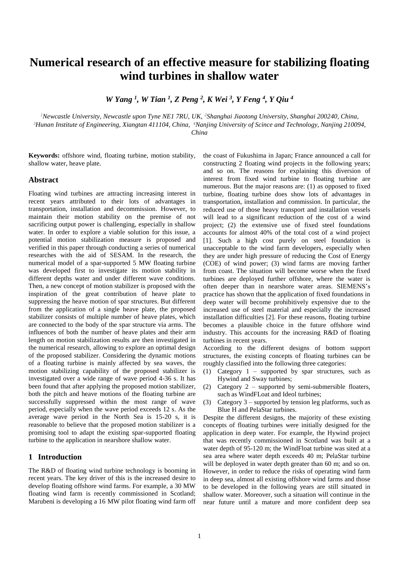# **Numerical research of an effective measure for stabilizing floating wind turbines in shallow water**

*W Yang <sup>1</sup> , W Tian <sup>1</sup> , Z Peng <sup>2</sup> , K Wei <sup>3</sup> , Y Feng <sup>4</sup> , Y Qiu <sup>4</sup>*

*<sup>1</sup>Newcastle University, Newcastle upon Tyne NE1 7RU, UK, <sup>2</sup>Shanghai Jiaotong University, Shanghai 200240, China,* 

*<sup>3</sup>Hunan Institute of Engineering, Xiangtan 411104, China, <sup>4</sup>Nanjing University of Scince and Technology, Nanjing 210094,* 

*China*

**Keywords:** offshore wind, floating turbine, motion stability, shallow water, heave plate.

#### **Abstract**

Floating wind turbines are attracting increasing interest in recent years attributed to their lots of advantages in transportation, installation and decommission. However, to maintain their motion stability on the premise of not sacrificing output power is challenging, especially in shallow water. In order to explore a viable solution for this issue, a potential motion stabilization measure is proposed and verified in this paper through conducting a series of numerical researches with the aid of SESAM. In the research, the numerical model of a spar-supported 5 MW floating turbine was developed first to investigate its motion stability in different depths water and under different wave conditions. Then, a new concept of motion stabilizer is proposed with the inspiration of the great contribution of heave plate to suppressing the heave motion of spar structures. But different from the application of a single heave plate, the proposed stabilizer consists of multiple number of heave plates, which are connected to the body of the spar structure via arms. The influences of both the number of heave plates and their arm length on motion stabilization results are then investigated in the numerical research, allowing to explore an optimal design of the proposed stabilizer. Considering the dynamic motions of a floating turbine is mainly affected by sea waves, the motion stabilizing capability of the proposed stabilizer is investigated over a wide range of wave period 4-36 s. It has been found that after applying the proposed motion stabilizer, both the pitch and heave motions of the floating turbine are successfully suppressed within the most range of wave period, especially when the wave period exceeds 12 s. As the average wave period in the North Sea is 15-20 s, it is reasonable to believe that the proposed motion stabilizer is a promising tool to adapt the existing spar-supported floating turbine to the application in nearshore shallow water.

## **1 Introduction**

The R&D of floating wind turbine technology is booming in recent years. The key driver of this is the increased desire to develop floating offshore wind farms. For example, a 30 MW floating wind farm is recently commissioned in Scotland; Marubeni is developing a 16 MW pilot floating wind farm off

the coast of Fukushima in Japan; France announced a call for constructing 2 floating wind projects in the following years; and so on. The reasons for explaining this diversion of interest from fixed wind turbine to floating turbine are numerous. But the major reasons are: (1) as opposed to fixed turbine, floating turbine does show lots of advantages in transportation, installation and commission. In particular, the reduced use of those heavy transport and installation vessels will lead to a significant reduction of the cost of a wind project; (2) the extensive use of fixed steel foundations accounts for almost 40% of the total cost of a wind project [1]. Such a high cost purely on steel foundation is unacceptable to the wind farm developers, especially when they are under high pressure of reducing the Cost of Energy (COE) of wind power; (3) wind farms are moving farther from coast. The situation will become worse when the fixed turbines are deployed further offshore, where the water is often deeper than in nearshore water areas. SIEMENS's practice has shown that the application of fixed foundations in deep water will become prohibitively expensive due to the increased use of steel material and especially the increased installation difficulties [2]. For these reasons, floating turbine becomes a plausible choice in the future offshore wind industry. This accounts for the increasing R&D of floating turbines in recent years.

According to the different designs of bottom support structures, the existing concepts of floating turbines can be roughly classified into the following three categories:

- (1) Category 1 supported by spar structures, such as Hywind and Sway turbines;
- (2) Category 2 supported by semi-submersible floaters, such as WindFLoat and Ideol turbines;
- (3) Category 3 supported by tension leg platforms, such as Blue H and PelaStar turbines.

Despite the different designs, the majority of these existing concepts of floating turbines were initially designed for the application in deep water. For example, the Hywind project that was recently commissioned in Scotland was built at a water depth of 95-120 m; the WindFloat turbine was sited at a sea area where water depth exceeds 40 m; PelaStar turbine will be deployed in water depth greater than 60 m; and so on. However, in order to reduce the risks of operating wind farm in deep sea, almost all existing offshore wind farms and those to be developed in the following years are still situated in shallow water. Moreover, such a situation will continue in the near future until a mature and more confident deep sea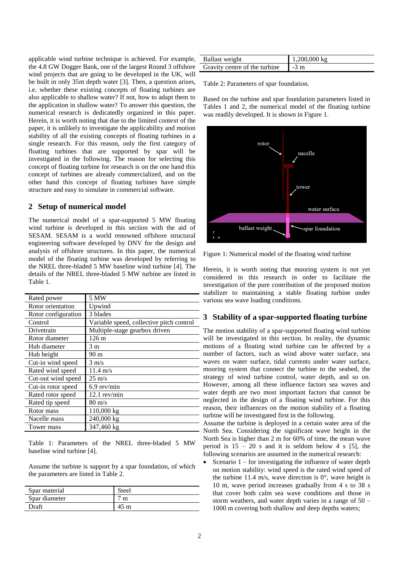applicable wind turbine technique is achieved. For example, the 4.8 GW Dogger Bank, one of the largest Round 3 offshore wind projects that are going to be developed in the UK, will be built in only 35m depth water [3]. Then, a question arises, i.e. whether these existing concepts of floating turbines are also applicable to shallow water? If not, how to adapt them to the application in shallow water? To answer this question, the numerical research is dedicatedly organized in this paper. Herein, it is worth noting that due to the limited context of the paper, it is unlikely to investigate the applicability and motion stability of all the existing concepts of floating turbines in a single research. For this reason, only the first category of floating turbines that are supported by spar will be investigated in the following. The reason for selecting this concept of floating turbine for research is on the one hand this concept of turbines are already commercialized, and on the other hand this concept of floating turbines have simple structure and easy to simulate in commercial software.

## **2 Setup of numerical model**

The numerical model of a spar-supported 5 MW floating wind turbine is developed in this section with the aid of SESAM. SESAM is a world renowned offshore structural engineering software developed by DNV for the design and analysis of offshore structures. In this paper, the numerical model of the floating turbine was developed by referring to the NREL three-bladed 5 MW baseline wind turbine [4]. The details of the NREL three-bladed 5 MW turbine are listed in Table 1.

| Rated power         | 5 MW                                     |  |
|---------------------|------------------------------------------|--|
| Rotor orientation   | Upwind                                   |  |
| Rotor configuration | 3 blades                                 |  |
| Control             | Variable speed, collective pitch control |  |
| Drivetrain          | Multiple-stage gearbox driven            |  |
| Rotor diameter      | 126 m                                    |  |
| Hub diameter        | 3 m                                      |  |
| Hub height          | 90 m                                     |  |
| Cut-in wind speed   | $3 \text{ m/s}$                          |  |
| Rated wind speed    | $11.4 \text{ m/s}$                       |  |
| Cut-out wind speed  | $25 \text{ m/s}$                         |  |
| Cut-in rotor speed  | $6.9$ rev/min                            |  |
| Rated rotor speed   | $12.1$ rev/min                           |  |
| Rated tip speed     | $80 \text{ m/s}$                         |  |
| Rotor mass          | $110,000$ kg                             |  |
| Nacelle mass        | 240,000 kg                               |  |
| Tower mass          | 347,460 kg                               |  |

Table 1: Parameters of the NREL three-bladed 5 MW baseline wind turbine [4].

Assume the turbine is support by a spar foundation, of which the parameters are listed in Table 2.

| Spar material | Steel |
|---------------|-------|
| Spar diameter |       |
| )raft         |       |

| Ballast weight                | $1,200,000 \text{ kg}$ |
|-------------------------------|------------------------|
| Gravity centre of the turbine | $-3 \text{ m}$         |

Table 2: Parameters of spar foundation.

Based on the turbine and spar foundation parameters listed in Tables 1 and 2, the numerical model of the floating turbine was readily developed. It is shown in Figure 1.



Figure 1: Numerical model of the floating wind turbine

Herein, it is worth noting that mooring system is not yet considered in this research in order to facilitate the investigation of the pure contribution of the proposed motion stabilizer to maintaining a stable floating turbine under various sea wave loading conditions.

## **3 Stability of a spar-supported floating turbine**

The motion stability of a spar-supported floating wind turbine will be investigated in this section. In reality, the dynamic motions of a floating wind turbine can be affected by a number of factors, such as wind above water surface, sea waves on water surface, tidal currents under water surface, mooring system that connect the turbine to the seabed, the strategy of wind turbine control, water depth, and so on. However, among all these influence factors sea waves and water depth are two most important factors that cannot be neglected in the design of a floating wind turbine. For this reason, their influences on the motion stability of a floating turbine will be investigated first in the following.

Assume the turbine is deployed in a certain water area of the North Sea. Considering the significant wave height in the North Sea is higher than 2 m for 60% of time, the mean wave period is  $15 - 20$  s and it is seldom below 4 s [5], the following scenarios are assumed in the numerical research:

 Scenario 1 – for investigating the influence of water depth on motion stability: wind speed is the rated wind speed of the turbine 11.4 m/s, wave direction is  $0^{\circ}$ , wave height is 10 m, wave period increases gradually from 4 s to 38 s that cover both calm sea wave conditions and those in storm weathers, and water depth varies in a range of 50 – 1000 m covering both shallow and deep depths waters;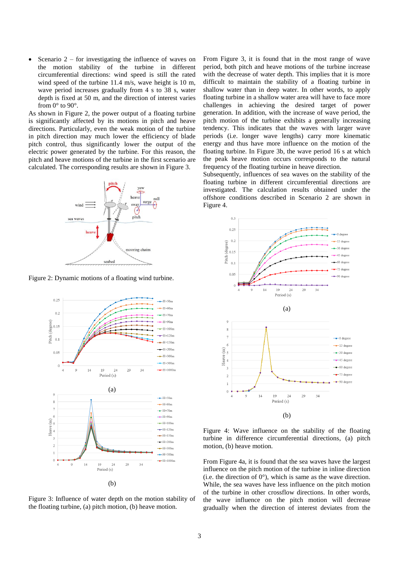Scenario 2 – for investigating the influence of waves on the motion stability of the turbine in different circumferential directions: wind speed is still the rated wind speed of the turbine 11.4 m/s, wave height is 10 m, wave period increases gradually from 4 s to 38 s, water depth is fixed at 50 m, and the direction of interest varies from  $0^\circ$  to  $90^\circ$ .

As shown in Figure 2, the power output of a floating turbine is significantly affected by its motions in pitch and heave directions. Particularly, even the weak motion of the turbine in pitch direction may much lower the efficiency of blade pitch control, thus significantly lower the output of the electric power generated by the turbine. For this reason, the pitch and heave motions of the turbine in the first scenario are calculated. The corresponding results are shown in Figure 3.



Figure 2: Dynamic motions of a floating wind turbine.



Figure 3: Influence of water depth on the motion stability of the floating turbine, (a) pitch motion, (b) heave motion.

From Figure 3, it is found that in the most range of wave period, both pitch and heave motions of the turbine increase with the decrease of water depth. This implies that it is more difficult to maintain the stability of a floating turbine in shallow water than in deep water. In other words, to apply floating turbine in a shallow water area will have to face more challenges in achieving the desired target of power generation. In addition, with the increase of wave period, the pitch motion of the turbine exhibits a generally increasing tendency. This indicates that the waves with larger wave periods (i.e. longer wave lengths) carry more kinematic energy and thus have more influence on the motion of the floating turbine. In Figure 3b, the wave period 16 s at which the peak heave motion occurs corresponds to the natural frequency of the floating turbine in heave direction.

Subsequently, influences of sea waves on the stability of the floating turbine in different circumferential directions are investigated. The calculation results obtained under the offshore conditions described in Scenario 2 are shown in Figure 4.



Figure 4: Wave influence on the stability of the floating turbine in difference circumferential directions, (a) pitch motion, (b) heave motion.

From Figure 4a, it is found that the sea waves have the largest influence on the pitch motion of the turbine in inline direction (i.e. the direction of  $0^{\circ}$ ), which is same as the wave direction. While, the sea waves have less influence on the pitch motion of the turbine in other crossflow directions. In other words, the wave influence on the pitch motion will decrease gradually when the direction of interest deviates from the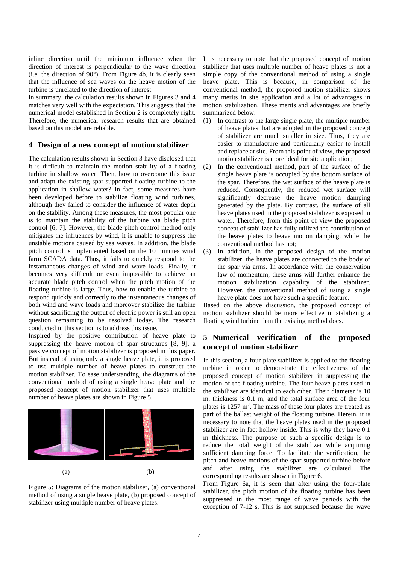inline direction until the minimum influence when the direction of interest is perpendicular to the wave direction (i.e. the direction of  $90^{\circ}$ ). From Figure 4b, it is clearly seen that the influence of sea waves on the heave motion of the turbine is unrelated to the direction of interest.

In summary, the calculation results shown in Figures 3 and 4 matches very well with the expectation. This suggests that the numerical model established in Section 2 is completely right. Therefore, the numerical research results that are obtained based on this model are reliable.

## **4 Design of a new concept of motion stabilizer**

The calculation results shown in Section 3 have disclosed that it is difficult to maintain the motion stability of a floating turbine in shallow water. Then, how to overcome this issue and adapt the existing spar-supported floating turbine to the application in shallow water? In fact, some measures have been developed before to stabilize floating wind turbines, although they failed to consider the influence of water depth on the stability. Among these measures, the most popular one is to maintain the stability of the turbine via blade pitch control [6, 7]. However, the blade pitch control method only mitigates the influences by wind, it is unable to suppress the unstable motions caused by sea waves. In addition, the blade pitch control is implemented based on the 10 minutes wind farm SCADA data. Thus, it fails to quickly respond to the instantaneous changes of wind and wave loads. Finally, it becomes very difficult or even impossible to achieve an accurate blade pitch control when the pitch motion of the floating turbine is large. Thus, how to enable the turbine to respond quickly and correctly to the instantaneous changes of both wind and wave loads and moreover stabilize the turbine without sacrificing the output of electric power is still an open question remaining to be resolved today. The research conducted in this section is to address this issue.

Inspired by the positive contribution of heave plate to suppressing the heave motion of spar structures [8, 9], a passive concept of motion stabilizer is proposed in this paper. But instead of using only a single heave plate, it is proposed to use multiple number of heave plates to construct the motion stabilizer. To ease understanding, the diagrams of the conventional method of using a single heave plate and the proposed concept of motion stabilizer that uses multiple number of heave plates are shown in Figure 5.



Figure 5: Diagrams of the motion stabilizer, (a) conventional method of using a single heave plate, (b) proposed concept of stabilizer using multiple number of heave plates.

It is necessary to note that the proposed concept of motion stabilizer that uses multiple number of heave plates is not a simple copy of the conventional method of using a single heave plate. This is because, in comparison of the conventional method, the proposed motion stabilizer shows many merits in site application and a lot of advantages in motion stabilization. These merits and advantages are briefly summarized below:

- (1) In contrast to the large single plate, the multiple number of heave plates that are adopted in the proposed concept of stabilizer are much smaller in size. Thus, they are easier to manufacture and particularly easier to install and replace at site. From this point of view, the proposed motion stabilizer is more ideal for site application;
- (2) In the conventional method, part of the surface of the single heave plate is occupied by the bottom surface of the spar. Therefore, the wet surface of the heave plate is reduced. Consequently, the reduced wet surface will significantly decrease the heave motion damping generated by the plate. By contrast, the surface of all heave plates used in the proposed stabilizer is exposed in water. Therefore, from this point of view the proposed concept of stabilizer has fully utilized the contribution of the heave plates to heave motion damping, while the conventional method has not;
- (3) In addition, in the proposed design of the motion stabilizer, the heave plates are connected to the body of the spar via arms. In accordance with the conservation law of momentum, these arms will further enhance the motion stabilization capability of the stabilizer. However, the conventional method of using a single heave plate does not have such a specific feature.

Based on the above discussion, the proposed concept of motion stabilizer should be more effective in stabilizing a floating wind turbine than the existing method does.

## **5 Numerical verification of the proposed concept of motion stabilizer**

In this section, a four-plate stabilizer is applied to the floating turbine in order to demonstrate the effectiveness of the proposed concept of motion stabilizer in suppressing the motion of the floating turbine. The four heave plates used in the stabilizer are identical to each other. Their diameter is 10 m, thickness is 0.1 m, and the total surface area of the four plates is 1257 m<sup>2</sup>. The mass of these four plates are treated as part of the ballast weight of the floating turbine. Herein, it is necessary to note that the heave plates used in the proposed stabilizer are in fact hollow inside. This is why they have 0.1 m thickness. The purpose of such a specific design is to reduce the total weight of the stabilizer while acquiring sufficient damping force. To facilitate the verification, the pitch and heave motions of the spar-supported turbine before and after using the stabilizer are calculated. The corresponding results are shown in Figure 6.

From Figure 6a, it is seen that after using the four-plate stabilizer, the pitch motion of the floating turbine has been suppressed in the most range of wave periods with the exception of 7-12 s. This is not surprised because the wave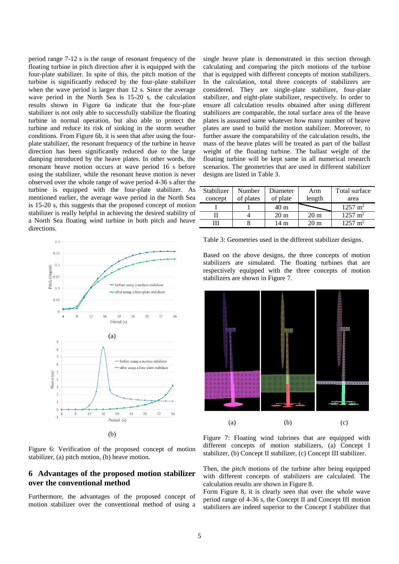period range 7-12 s is the range of resonant frequency of the floating turbine in pitch direction after it is equipped with the four-plate stabilizer. In spite of this, the pitch motion of the turbine is significantly reduced by the four-plate stabilizer when the wave period is larger than 12 s. Since the average wave period in the North Sea is 15-20 s, the calculation results shown in Figure 6a indicate that the four-plate stabilizer is not only able to successfully stabilize the floating turbine in normal operation, but also able to protect the turbine and reduce its risk of sinking in the storm weather conditions. From Figure 6b, it is seen that after using the fourplate stabilizer, the resonant frequency of the turbine in heave direction has been significantly reduced due to the large damping introduced by the heave plates. In other words, the resonant heave motion occurs at wave period 16 s before using the stabilizer, while the resonant heave motion is never observed over the whole range of wave period 4-36 s after the turbine is equipped with the four-plate stabilizer. As mentioned earlier, the average wave period in the North Sea is 15-20 s, this suggests that the proposed concept of motion stabilizer is really helpful in achieving the desired stability of a North Sea floating wind turbine in both pitch and heave directions.



Figure 6: Verification of the proposed concept of motion stabilizer, (a) pitch motion, (b) heave motion.

## **6 Advantages of the proposed motion stabilizer over the conventional method**

Furthermore, the advantages of the proposed concept of motion stabilizer over the conventional method of using a

single heave plate is demonstrated in this section through calculating and comparing the pitch motions of the turbine that is equipped with different concepts of motion stabilizers. In the calculation, total three concepts of stabilizers are considered. They are single-plate stabilizer, four-plate stabilizer, and eight-plate stabilizer, respectively. In order to ensure all calculation results obtained after using different stabilizers are comparable, the total surface area of the heave plates is assumed same whatever how many number of heave plates are used to build the motion stabilizer. Moreover, to further assure the comparability of the calculation results, the mass of the heave plates will be treated as part of the ballast weight of the floating turbine. The ballast weight of the floating turbine will be kept same in all numerical research scenarios. The geometries that are used in different stabilizer designs are listed in Table 3.

| Stabilizer | Number    | Diameter        | Arm            | Total surface      |
|------------|-----------|-----------------|----------------|--------------------|
| concept    | of plates | of plate        | length         | area               |
|            |           | 40 m            |                | $1257 \text{ m}^2$ |
|            |           | 20 <sub>m</sub> | $20 \text{ m}$ | $1257 \text{ m}^2$ |
|            |           | 14 m            | 20 m           | $1257 \text{ m}^2$ |

Table 3: Geometries used in the different stabilizer designs.

Based on the above designs, the three concepts of motion stabilizers are simulated. The floating turbines that are respectively equipped with the three concepts of motion stabilizers are shown in Figure 7.



Figure 7: Floating wind tubrines that are equipped with different concepts of motion stabilizers, (a) Concept I stabilizer, (b) Concept II stabilizer, (c) Concept III stabilizer.

Then, the pitch motions of the turbine after being equipped with different concepts of stabilizers are calculated. The calculation results are shown in Figure 8.

Form Figure 8, it is clearly seen that over the whole wave period range of 4-36 s, the Concept II and Concept III motion stabilizers are indeed superior to the Concept I stabilizer that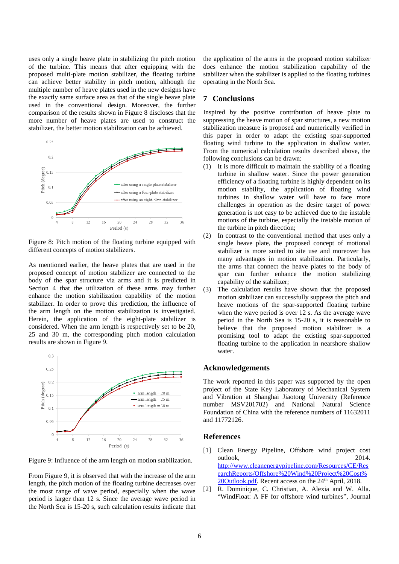uses only a single heave plate in stabilizing the pitch motion of the turbine. This means that after equipping with the proposed multi-plate motion stabilizer, the floating turbine can achieve better stability in pitch motion, although the multiple number of heave plates used in the new designs have the exactly same surface area as that of the single heave plate used in the conventional design. Moreover, the further comparison of the results shown in Figure 8 discloses that the more number of heave plates are used to construct the stabilizer, the better motion stabilization can be achieved.



Figure 8: Pitch motion of the floating turbine equipped with different concepts of motion stabilizers.

As mentioned earlier, the heave plates that are used in the proposed concept of motion stabilizer are connected to the body of the spar structure via arms and it is predicted in Section 4 that the utilization of these arms may further enhance the motion stabilization capability of the motion stabilizer. In order to prove this prediction, the influence of the arm length on the motion stabilization is investigated. Herein, the application of the eight-plate stabilizer is considered. When the arm length is respectively set to be 20, 25 and 30 m, the corresponding pitch motion calculation results are shown in Figure 9.



Figure 9: Influence of the arm length on motion stabilization.

From Figure 9, it is observed that with the increase of the arm length, the pitch motion of the floating turbine decreases over the most range of wave period, especially when the wave period is larger than 12 s. Since the average wave period in the North Sea is 15-20 s, such calculation results indicate that the application of the arms in the proposed motion stabilizer does enhance the motion stabilization capability of the stabilizer when the stabilizer is applied to the floating turbines operating in the North Sea.

## **7 Conclusions**

Inspired by the positive contribution of heave plate to suppressing the heave motion of spar structures, a new motion stabilization measure is proposed and numerically verified in this paper in order to adapt the existing spar-supported floating wind turbine to the application in shallow water. From the numerical calculation results described above, the following conclusions can be drawn:

- (1) It is more difficult to maintain the stability of a floating turbine in shallow water. Since the power generation efficiency of a floating turbine is highly dependent on its motion stability, the application of floating wind turbines in shallow water will have to face more challenges in operation as the desire target of power generation is not easy to be achieved due to the instable motions of the turbine, especially the instable motion of the turbine in pitch direction;
- (2) In contrast to the conventional method that uses only a single heave plate, the proposed concept of motional stabilizer is more suited to site use and moreover has many advantages in motion stabilization. Particularly, the arms that connect the heave plates to the body of spar can further enhance the motion stabilizing capability of the stabilizer;
- (3) The calculation results have shown that the proposed motion stabilizer can successfully suppress the pitch and heave motions of the spar-supported floating turbine when the wave period is over 12 s. As the average wave period in the North Sea is 15-20 s, it is reasonable to believe that the proposed motion stabilizer is a promising tool to adapt the existing spar-supported floating turbine to the application in nearshore shallow water.

## **Acknowledgements**

The work reported in this paper was supported by the open project of the State Key Laboratory of Mechanical System and Vibration at Shanghai Jiaotong University (Reference number MSV201702) and National Natural Science Foundation of China with the reference numbers of 11632011 and 11772126.

## **References**

- [1] Clean Energy Pipeline, Offshore wind project cost outlook, 2014. [http://www.cleanenergypipeline.com/Resources/CE/Res](http://www.cleanenergypipeline.com/Resources/CE/ResearchReports/Offshore%20Wind%20Project%20Cost%20Outlook.pdf) [earchReports/Offshore%20Wind%20Project%20Cost%](http://www.cleanenergypipeline.com/Resources/CE/ResearchReports/Offshore%20Wind%20Project%20Cost%20Outlook.pdf) [20Outlook.pdf.](http://www.cleanenergypipeline.com/Resources/CE/ResearchReports/Offshore%20Wind%20Project%20Cost%20Outlook.pdf) Recent access on the 24<sup>th</sup> April, 2018.
- [2] R. Dominique, C. Christian, A. Alexia and W. Alla. "WindFloat: A FF for offshore wind turbines", Journal